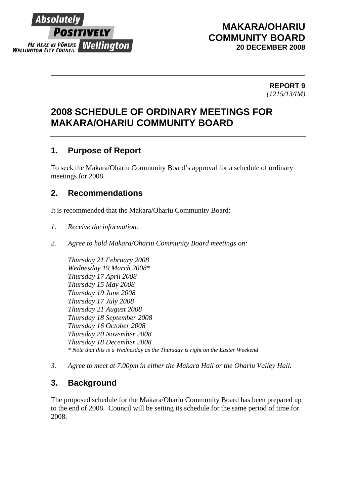

## **MAKARA/OHARIU COMMUNITY BOARD 20 DECEMBER 2008**

 **REPORT 9** *(1215/13/IM)*

# **2008 SCHEDULE OF ORDINARY MEETINGS FOR MAKARA/OHARIU COMMUNITY BOARD**

#### **1. Purpose of Report**

To seek the Makara/Ohariu Community Board's approval for a schedule of ordinary meetings for 2008.

## **2. Recommendations**

It is recommended that the Makara/Ohariu Community Board:

- *1. Receive the information.*
- *2. Agree to hold Makara/Ohariu Community Board meetings on:*

*Thursday 21 February 2008 Wednesday 19 March 2008\* Thursday 17 April 2008 Thursday 15 May 2008 Thursday 19 June 2008 Thursday 17 July 2008 Thursday 21 August 2008 Thursday 18 September 2008 Thursday 16 October 2008 Thursday 20 November 2008 Thursday 18 December 2008 \* Note that this is a Wednesday as the Thursday is right on the Easter Weekend* 

*3. Agree to meet at 7.00pm in either the Makara Hall or the Ohariu Valley Hall.* 

#### **3. Background**

The proposed schedule for the Makara/Ohariu Community Board has been prepared up to the end of 2008. Council will be setting its schedule for the same period of time for 2008.